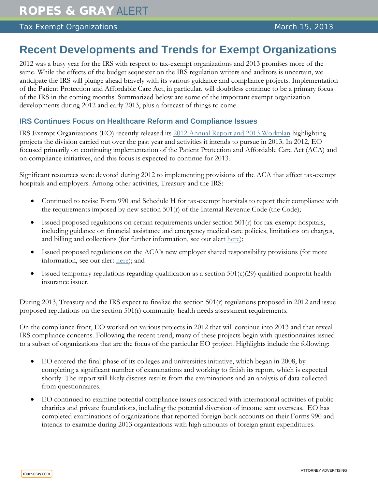## Tax Exempt Organizations March 15, 2013

# **Recent Developments and Trends for Exempt Organizations**

2012 was a busy year for the IRS with respect to tax-exempt organizations and 2013 promises more of the same. While the effects of the budget sequester on the IRS regulation writers and auditors is uncertain, we anticipate the IRS will plunge ahead bravely with its various guidance and compliance projects. Implementation of the Patient Protection and Affordable Care Act, in particular, will doubtless continue to be a primary focus of the IRS in the coming months. Summarized below are some of the important exempt organization developments during 2012 and early 2013, plus a forecast of things to come.

## **IRS Continues Focus on Healthcare Reform and Compliance Issues**

IRS Exempt Organizations (EO) recently released its [2012 Annual Report and 2013 Workplan](http://www.irs.gov/pub/irs-tege/FY2012_EO_AnnualRpt_2013_Work_Plan.pdf) highlighting projects the division carried out over the past year and activities it intends to pursue in 2013. In 2012, EO focused primarily on continuing implementation of the Patient Protection and Affordable Care Act (ACA) and on compliance initiatives, and this focus is expected to continue for 2013.

Significant resources were devoted during 2012 to implementing provisions of the ACA that affect tax-exempt hospitals and employers. Among other activities, Treasury and the IRS:

- Continued to revise Form 990 and Schedule H for tax-exempt hospitals to report their compliance with the requirements imposed by new section  $501(r)$  of the Internal Revenue Code (the Code);
- Issued proposed regulations on certain requirements under section  $501(r)$  for tax-exempt hospitals, including guidance on financial assistance and emergency medical care policies, limitations on charges, and billing and collections (for further information, see our alert [here\)](http://www.ropesgray.com/files/Publication/e08a1d1b-43eb-4548-a039-5d650cbcde98/Presentation/PublicationAttachment/95ef6b93-9d3a-4e21-b7a0-5ff14bb23959/20120625_TaxExemptAlert.pdf);
- Issued proposed regulations on the ACA's new employer shared responsibility provisions (for more information, see our alert [here\)](http://www.ropesgray.com/files/Publication/c41820e4-4728-435c-97a6-cf57e36eceec/Presentation/PublicationAttachment/9ea12a36-7621-41e5-a6b0-d0c0d90bbbe7/20130103_Benefits_Alert.pdf); and
- Issued temporary regulations regarding qualification as a section  $501(c)(29)$  qualified nonprofit health insurance issuer.

During 2013, Treasury and the IRS expect to finalize the section 501(r) regulations proposed in 2012 and issue proposed regulations on the section  $501(r)$  community health needs assessment requirements.

On the compliance front, EO worked on various projects in 2012 that will continue into 2013 and that reveal IRS compliance concerns. Following the recent trend, many of these projects begin with questionnaires issued to a subset of organizations that are the focus of the particular EO project. Highlights include the following:

- EO entered the final phase of its colleges and universities initiative, which began in 2008, by completing a significant number of examinations and working to finish its report, which is expected shortly. The report will likely discuss results from the examinations and an analysis of data collected from questionnaires.
- EO continued to examine potential compliance issues associated with international activities of public charities and private foundations, including the potential diversion of income sent overseas. EO has completed examinations of organizations that reported foreign bank accounts on their Forms 990 and intends to examine during 2013 organizations with high amounts of foreign grant expenditures.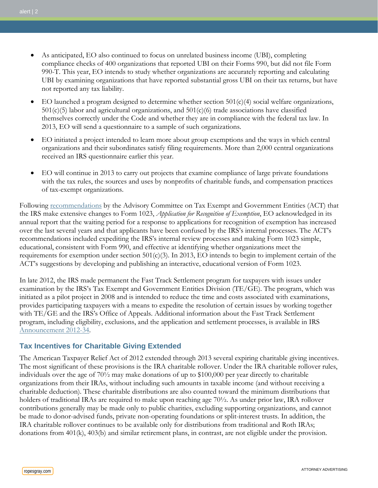- As anticipated, EO also continued to focus on unrelated business income (UBI), completing compliance checks of 400 organizations that reported UBI on their Forms 990, but did not file Form 990-T. This year, EO intends to study whether organizations are accurately reporting and calculating UBI by examining organizations that have reported substantial gross UBI on their tax returns, but have not reported any tax liability.
- EO launched a program designed to determine whether section  $501(c)(4)$  social welfare organizations,  $501(c)(5)$  labor and agricultural organizations, and  $501(c)(6)$  trade associations have classified themselves correctly under the Code and whether they are in compliance with the federal tax law. In 2013, EO will send a questionnaire to a sample of such organizations.
- EO initiated a project intended to learn more about group exemptions and the ways in which central organizations and their subordinates satisfy filing requirements. More than 2,000 central organizations received an IRS questionnaire earlier this year.
- EO will continue in 2013 to carry out projects that examine compliance of large private foundations with the tax rules, the sources and uses by nonprofits of charitable funds, and compensation practices of tax-exempt organizations.

Following [recommendations](http://www.irs.gov/pub/irs-tege/tege_act_rpt11.pdf) by the Advisory Committee on Tax Exempt and Government Entities (ACT) that the IRS make extensive changes to Form 1023, *Application for Recognition of Exemption*, EO acknowledged in its annual report that the waiting period for a response to applications for recognition of exemption has increased over the last several years and that applicants have been confused by the IRS's internal processes. The ACT's recommendations included expediting the IRS's internal review processes and making Form 1023 simple, educational, consistent with Form 990, and effective at identifying whether organizations meet the requirements for exemption under section  $501(c)(3)$ . In 2013, EO intends to begin to implement certain of the ACT's suggestions by developing and publishing an interactive, educational version of Form 1023.

In late 2012, the IRS made permanent the Fast Track Settlement program for taxpayers with issues under examination by the IRS's Tax Exempt and Government Entities Division (TE/GE). The program, which was initiated as a pilot project in 2008 and is intended to reduce the time and costs associated with examinations, provides participating taxpayers with a means to expedite the resolution of certain issues by working together with TE/GE and the IRS's Office of Appeals. Additional information about the Fast Track Settlement program, including eligibility, exclusions, and the application and settlement processes, is available in IRS [Announcement](http://www.irs.gov/irb/2012-36_IRB/ar08.html) 2012-34.

## **Tax Incentives for Charitable Giving Extended**

The American Taxpayer Relief Act of 2012 extended through 2013 several expiring charitable giving incentives. The most significant of these provisions is the IRA charitable rollover. Under the IRA charitable rollover rules, individuals over the age of 70½ may make donations of up to \$100,000 per year directly to charitable organizations from their IRAs, without including such amounts in taxable income (and without receiving a charitable deduction). These charitable distributions are also counted toward the minimum distributions that holders of traditional IRAs are required to make upon reaching age 70½. As under prior law, IRA rollover contributions generally may be made only to public charities, excluding supporting organizations, and cannot be made to donor-advised funds, private non-operating foundations or split-interest trusts. In addition, the IRA charitable rollover continues to be available only for distributions from traditional and Roth IRAs; donations from 401(k), 403(b) and similar retirement plans, in contrast, are not eligible under the provision.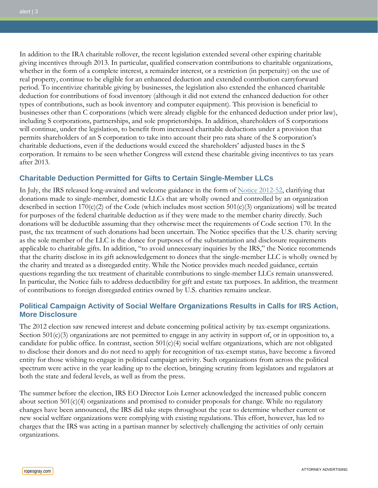In addition to the IRA charitable rollover, the recent legislation extended several other expiring charitable giving incentives through 2013. In particular, qualified conservation contributions to charitable organizations, whether in the form of a complete interest, a remainder interest, or a restriction (in perpetuity) on the use of real property, continue to be eligible for an enhanced deduction and extended contribution carryforward period. To incentivize charitable giving by businesses, the legislation also extended the enhanced charitable deduction for contributions of food inventory (although it did not extend the enhanced deduction for other types of contributions, such as book inventory and computer equipment). This provision is beneficial to businesses other than C corporations (which were already eligible for the enhanced deduction under prior law), including S corporations, partnerships, and sole proprietorships. In addition, shareholders of S corporations will continue, under the legislation, to benefit from increased charitable deductions under a provision that permits shareholders of an S corporation to take into account their pro rata share of the S corporation's charitable deductions, even if the deductions would exceed the shareholders' adjusted bases in the S corporation. It remains to be seen whether Congress will extend these charitable giving incentives to tax years after 2013.

## **Charitable Deduction Permitted for Gifts to Certain Single-Member LLCs**

In July, the IRS released long-awaited and welcome guidance in the form of [Notice 2012-52,](http://www.irs.gov/irb/2012-35_IRB/ar07.html) clarifying that donations made to single-member, domestic LLCs that are wholly owned and controlled by an organization described in section  $170(c)(2)$  of the Code (which includes most section  $501(c)(3)$  organizations) will be treated for purposes of the federal charitable deduction as if they were made to the member charity directly. Such donations will be deductible assuming that they otherwise meet the requirements of Code section 170. In the past, the tax treatment of such donations had been uncertain. The Notice specifies that the U.S. charity serving as the sole member of the LLC is the donee for purposes of the substantiation and disclosure requirements applicable to charitable gifts. In addition, "to avoid unnecessary inquiries by the IRS," the Notice recommends that the charity disclose in its gift acknowledgement to donees that the single-member LLC is wholly owned by the charity and treated as a disregarded entity. While the Notice provides much needed guidance, certain questions regarding the tax treatment of charitable contributions to single-member LLCs remain unanswered. In particular, the Notice fails to address deductibility for gift and estate tax purposes. In addition, the treatment of contributions to foreign disregarded entities owned by U.S. charities remains unclear.

## **Political Campaign Activity of Social Welfare Organizations Results in Calls for IRS Action, More Disclosure**

The 2012 election saw renewed interest and debate concerning political activity by tax-exempt organizations. Section  $501(c)(3)$  organizations are not permitted to engage in any activity in support of, or in opposition to, a candidate for public office. In contrast, section  $501(c)(4)$  social welfare organizations, which are not obligated to disclose their donors and do not need to apply for recognition of tax-exempt status, have become a favored entity for those wishing to engage in political campaign activity. Such organizations from across the political spectrum were active in the year leading up to the election, bringing scrutiny from legislators and regulators at both the state and federal levels, as well as from the press.

The summer before the election, IRS EO Director Lois Lerner acknowledged the increased public concern about section  $501(c)(4)$  organizations and promised to consider proposals for change. While no regulatory changes have been announced, the IRS did take steps throughout the year to determine whether current or new social welfare organizations were complying with existing regulations. This effort, however, has led to charges that the IRS was acting in a partisan manner by selectively challenging the activities of only certain organizations.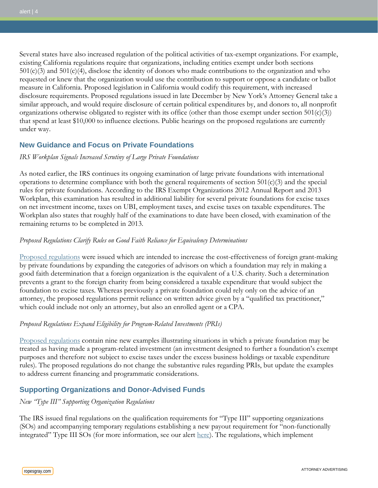Several states have also increased regulation of the political activities of tax-exempt organizations. For example, existing California regulations require that organizations, including entities exempt under both sections 501(c)(3) and 501(c)(4), disclose the identity of donors who made contributions to the organization and who requested or knew that the organization would use the contribution to support or oppose a candidate or ballot measure in California. Proposed legislation in California would codify this requirement, with increased disclosure requirements. Proposed regulations issued in late December by New York's Attorney General take a similar approach, and would require disclosure of certain political expenditures by, and donors to, all nonprofit organizations otherwise obligated to register with its office (other than those exempt under section  $501(c)(3)$ ) that spend at least \$10,000 to influence elections. Public hearings on the proposed regulations are currently under way.

## **New Guidance and Focus on Private Foundations**

#### *IRS Workplan Signals Increased Scrutiny of Large Private Foundations*

As noted earlier, the IRS continues its ongoing examination of large private foundations with international operations to determine compliance with both the general requirements of section  $501(c)(3)$  and the special rules for private foundations. According to the IRS Exempt Organizations 2012 Annual Report and 2013 Workplan, this examination has resulted in additional liability for several private foundations for excise taxes on net investment income, taxes on UBI, employment taxes, and excise taxes on taxable expenditures. The Workplan also states that roughly half of the examinations to date have been closed, with examination of the remaining returns to be completed in 2013.

### *Proposed Regulations Clarify Rules on Good Faith Reliance for Equivalency Determinations*

[Proposed regulations](http://www.gpo.gov/fdsys/pkg/FR-2012-09-24/pdf/2012-23553.pdf) were issued which are intended to increase the cost-effectiveness of foreign grant-making by private foundations by expanding the categories of advisors on which a foundation may rely in making a good faith determination that a foreign organization is the equivalent of a U.S. charity. Such a determination prevents a grant to the foreign charity from being considered a taxable expenditure that would subject the foundation to excise taxes. Whereas previously a private foundation could rely only on the advice of an attorney, the proposed regulations permit reliance on written advice given by a "qualified tax practitioner," which could include not only an attorney, but also an enrolled agent or a CPA.

## *Proposed Regulations Expand Eligibility for Program-Related Investments (PRIs)*

[Proposed regulations](http://www.gpo.gov/fdsys/pkg/FR-2012-04-19/pdf/2012-9468.pdf) contain nine new examples illustrating situations in which a private foundation may be treated as having made a program-related investment (an investment designed to further a foundation's exempt purposes and therefore not subject to excise taxes under the excess business holdings or taxable expenditure rules). The proposed regulations do not change the substantive rules regarding PRIs, but update the examples to address current financing and programmatic considerations.

## **Supporting Organizations and Donor-Advised Funds**

#### *New "Type III" Supporting Organization Regulations*

The IRS issued final regulations on the qualification requirements for "Type III" supporting organizations (SOs) and accompanying temporary regulations establishing a new payout requirement for "non-functionally integrated" Type III SOs (for more information, see our alert [here\)](http://www.ropesgray.com/files/Publication/65f4063d-27a2-4818-b343-1cb6c18edf0b/Presentation/PublicationAttachment/3c902a2d-063a-459b-86d7-23adf94e4120/20130104_EO_Alert.pdf). The regulations, which implement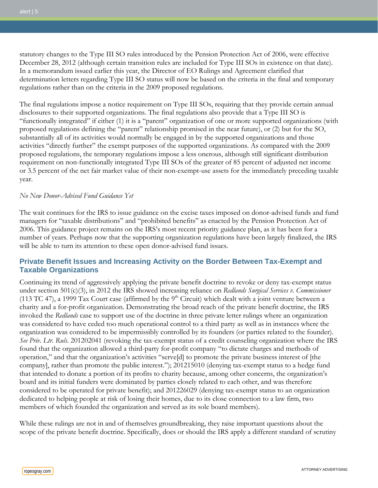statutory changes to the Type III SO rules introduced by the Pension Protection Act of 2006, were effective December 28, 2012 (although certain transition rules are included for Type III SOs in existence on that date). In a memorandum issued earlier this year, the Director of EO Rulings and Agreement clarified that determination letters regarding Type III SO status will now be based on the criteria in the final and temporary regulations rather than on the criteria in the 2009 proposed regulations.

The final regulations impose a notice requirement on Type III SOs, requiring that they provide certain annual disclosures to their supported organizations. The final regulations also provide that a Type III SO is "functionally integrated" if either (1) it is a "parent" organization of one or more supported organizations (with proposed regulations defining the "parent" relationship promised in the near future), or (2) but for the SO, substantially all of its activities would normally be engaged in by the supported organizations and those activities "directly further" the exempt purposes of the supported organizations. As compared with the 2009 proposed regulations, the temporary regulations impose a less onerous, although still significant distribution requirement on non-functionally integrated Type III SOs of the greater of 85 percent of adjusted net income or 3.5 percent of the net fair market value of their non-exempt-use assets for the immediately preceding taxable year.

#### *No New Donor-Advised Fund Guidance Yet*

The wait continues for the IRS to issue guidance on the excise taxes imposed on donor-advised funds and fund managers for "taxable distributions" and "prohibited benefits" as enacted by the Pension Protection Act of 2006. This guidance project remains on the IRS's most recent priority guidance plan, as it has been for a number of years. Perhaps now that the supporting organization regulations have been largely finalized, the IRS will be able to turn its attention to these open donor-advised fund issues.

## **Private Benefit Issues and Increasing Activity on the Border Between Tax-Exempt and Taxable Organizations**

Continuing its trend of aggressively applying the private benefit doctrine to revoke or deny tax-exempt status under section 501(c)(3), in 2012 the IRS showed increasing reliance on *Redlands Surgical Services v. Commissioner*  (113 TC 47), a 1999 Tax Court case (affirmed by the  $9<sup>th</sup>$  Circuit) which dealt with a joint venture between a charity and a for-profit organization. Demonstrating the broad reach of the private benefit doctrine, the IRS invoked the *Redlands* case to support use of the doctrine in three private letter rulings where an organization was considered to have ceded too much operational control to a third party as well as in instances where the organization was considered to be impermissibly controlled by its founders (or parties related to the founder). *See Priv. Ltr. Ruls*. 201202041 (revoking the tax-exempt status of a credit counseling organization where the IRS found that the organization allowed a third-party for-profit company "to dictate charges and methods of operation," and that the organization's activities "serve[d] to promote the private business interest of [the company], rather than promote the public interest."); 201215010 (denying tax-exempt status to a hedge fund that intended to donate a portion of its profits to charity because, among other concerns, the organization's board and its initial funders were dominated by parties closely related to each other, and was therefore considered to be operated for private benefit); and 201226029 (denying tax-exempt status to an organization dedicated to helping people at risk of losing their homes, due to its close connection to a law firm, two members of which founded the organization and served as its sole board members).

While these rulings are not in and of themselves groundbreaking, they raise important questions about the scope of the private benefit doctrine. Specifically, does or should the IRS apply a different standard of scrutiny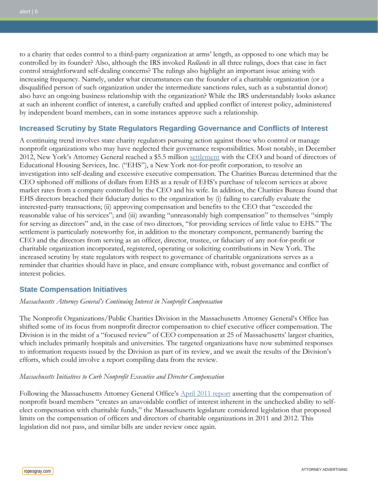to a charity that cedes control to a third-party organization at arms' length, as opposed to one which may be controlled by its founder? Also, although the IRS invoked *Redlands* in all three rulings, does that case in fact control straightforward self-dealing concerns? The rulings also highlight an important issue arising with increasing frequency. Namely, under what circumstances can the founder of a charitable organization (or a disqualified person of such organization under the intermediate sanctions rules, such as a substantial donor) also have an ongoing business relationship with the organization? While the IRS understandably looks askance at such an inherent conflict of interest, a carefully crafted and applied conflict of interest policy, administered by independent board members, can in some instances approve such a relationship.

## **Increased Scrutiny by State Regulators Regarding Governance and Conflicts of Interest**

A continuing trend involves state charity regulators pursuing action against those who control or manage nonprofit organizations who may have neglected their governance responsibilities. Most notably, in December 2012, New York's Attorney General reached a \$5.5 million [settlement](http://www.ag.ny.gov/pdfs/EHS_AOD.pdf) with the CEO and board of directors of Educational Housing Services, Inc. ("EHS"), a New York not-for-profit corporation, to resolve an investigation into self-dealing and excessive executive compensation. The Charities Bureau determined that the CEO siphoned off millions of dollars from EHS as a result of EHS's purchase of telecom services at above market rates from a company controlled by the CEO and his wife. In addition, the Charities Bureau found that EHS directors breached their fiduciary duties to the organization by (i) failing to carefully evaluate the interested-party transactions; (ii) approving compensation and benefits to the CEO that "exceeded the reasonable value of his services"; and (iii) awarding "unreasonably high compensation" to themselves "simply for serving as directors" and, in the case of two directors, "for providing services of little value to EHS." The settlement is particularly noteworthy for, in addition to the monetary component, permanently barring the CEO and the directors from serving as an officer, director, trustee, or fiduciary of any not-for-profit or charitable organization incorporated, registered, operating or soliciting contributions in New York. The increased scrutiny by state regulators with respect to governance of charitable organizations serves as a reminder that charities should have in place, and ensure compliance with, robust governance and conflict of interest policies.

## **State Compensation Initiatives**

#### *Massachusetts Attorney General's Continuing Interest in Nonprofit Compensation*

The Nonprofit Organizations/Public Charities Division in the Massachusetts Attorney General's Office has shifted some of its focus from nonprofit director compensation to chief executive officer compensation. The Division is in the midst of a "focused review" of CEO compensation at 25 of Massachusetts' largest charities, which includes primarily hospitals and universities. The targeted organizations have now submitted responses to information requests issued by the Division as part of its review, and we await the results of the Division's efforts, which could involve a report compiling data from the review.

#### *Massachusetts Initiatives to Curb Nonprofit Executive and Director Compensation*

Following the Massachusetts Attorney General Office's [April 2011 report](http://www.mass.gov/ago/docs/nonprofit/findings-and-recommendations/director-compensation-report-4-14-11.pdf) asserting that the compensation of nonprofit board members "creates an unavoidable conflict of interest inherent in the unchecked ability to selfelect compensation with charitable funds," the Massachusetts legislature considered legislation that proposed limits on the compensation of officers and directors of charitable organizations in 2011 and 2012. This legislation did not pass, and similar bills are under review once again.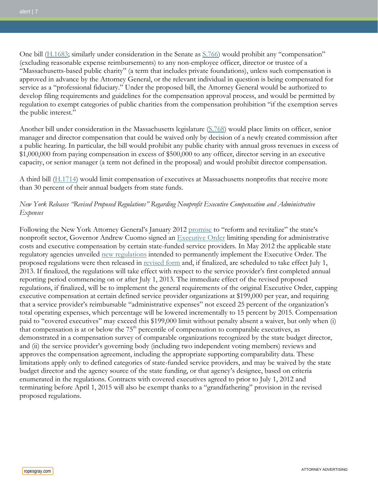One bill [\(H.1683;](http://www.malegislature.gov/Bills/188/House/H1683) similarly under consideration in the Senate as [S.766\)](http://www.malegislature.gov/Bills/188/Senate/S766) would prohibit any "compensation" (excluding reasonable expense reimbursements) to any non-employee officer, director or trustee of a "Massachusetts-based public charity" (a term that includes private foundations), unless such compensation is approved in advance by the Attorney General, or the relevant individual in question is being compensated for service as a "professional fiduciary." Under the proposed bill, the Attorney General would be authorized to develop filing requirements and guidelines for the compensation approval process, and would be permitted by regulation to exempt categories of public charities from the compensation prohibition "if the exemption serves the public interest."

Another bill under consideration in the Massachusetts legislature [\(S.768\)](http://www.malegislature.gov/Bills/188/Senate/S768) would place limits on officer, senior manager and director compensation that could be waived only by decision of a newly created commission after a public hearing. In particular, the bill would prohibit any public charity with annual gross revenues in excess of \$1,000,000 from paying compensation in excess of \$500,000 to any officer, director serving in an executive capacity, or senior manager (a term not defined in the proposal) and would prohibit director compensation.

A third bill [\(H.1714\)](http://www.malegislature.gov/Bills/188/House/H1714) would limit compensation of executives at Massachusetts nonprofits that receive more than 30 percent of their annual budgets from state funds.

## *New York Releases "Revised Proposed Regulations" Regarding Nonprofit Executive Compensation and Administrative Expenses*

Following the New York Attorney General's January 2012 [promise](http://www.ag.ny.gov/press-release/ag-schneiderman-announces-bold-plan-revitalize-and-reform-new-yorks-nonprofit-sector) to "reform and revitalize" the state's nonprofit sector, Governor Andrew Cuomo signed an [Executive Order](http://www.governor.ny.gov/press/1182011EO) limiting spending for administrative costs and executive compensation by certain state-funded service providers. In May 2012 the applicable state regulatory agencies unveiled [new regulations](http://www.governor.ny.gov/press/05162012state-funded-providers) intended to permanently implement the Executive Order. The proposed regulations were then released in [revised form](http://w3.health.state.ny.us/dbspace/propregs.nsf/4ac9558781006774852569bd00512fda/879fa87a6ed1887a85257b2d0051fbb3?OpenDocument) and, if finalized, are scheduled to take effect July 1, 2013. If finalized, the regulations will take effect with respect to the service provider's first completed annual reporting period commencing on or after July 1, 2013. The immediate effect of the revised proposed regulations, if finalized, will be to implement the general requirements of the original Executive Order, capping executive compensation at certain defined service provider organizations at \$199,000 per year, and requiring that a service provider's reimbursable "administrative expenses" not exceed 25 percent of the organization's total operating expenses, which percentage will be lowered incrementally to 15 percent by 2015. Compensation paid to "covered executives" may exceed this \$199,000 limit without penalty absent a waiver, but only when (i) that compensation is at or below the  $75<sup>th</sup>$  percentile of compensation to comparable executives, as demonstrated in a compensation survey of comparable organizations recognized by the state budget director, and (ii) the service provider's governing body (including two independent voting members) reviews and approves the compensation agreement, including the appropriate supporting comparability data. These limitations apply only to defined categories of state-funded service providers, and may be waived by the state budget director and the agency source of the state funding, or that agency's designee, based on criteria enumerated in the regulations. Contracts with covered executives agreed to prior to July 1, 2012 and terminating before April 1, 2015 will also be exempt thanks to a "grandfathering" provision in the revised proposed regulations.